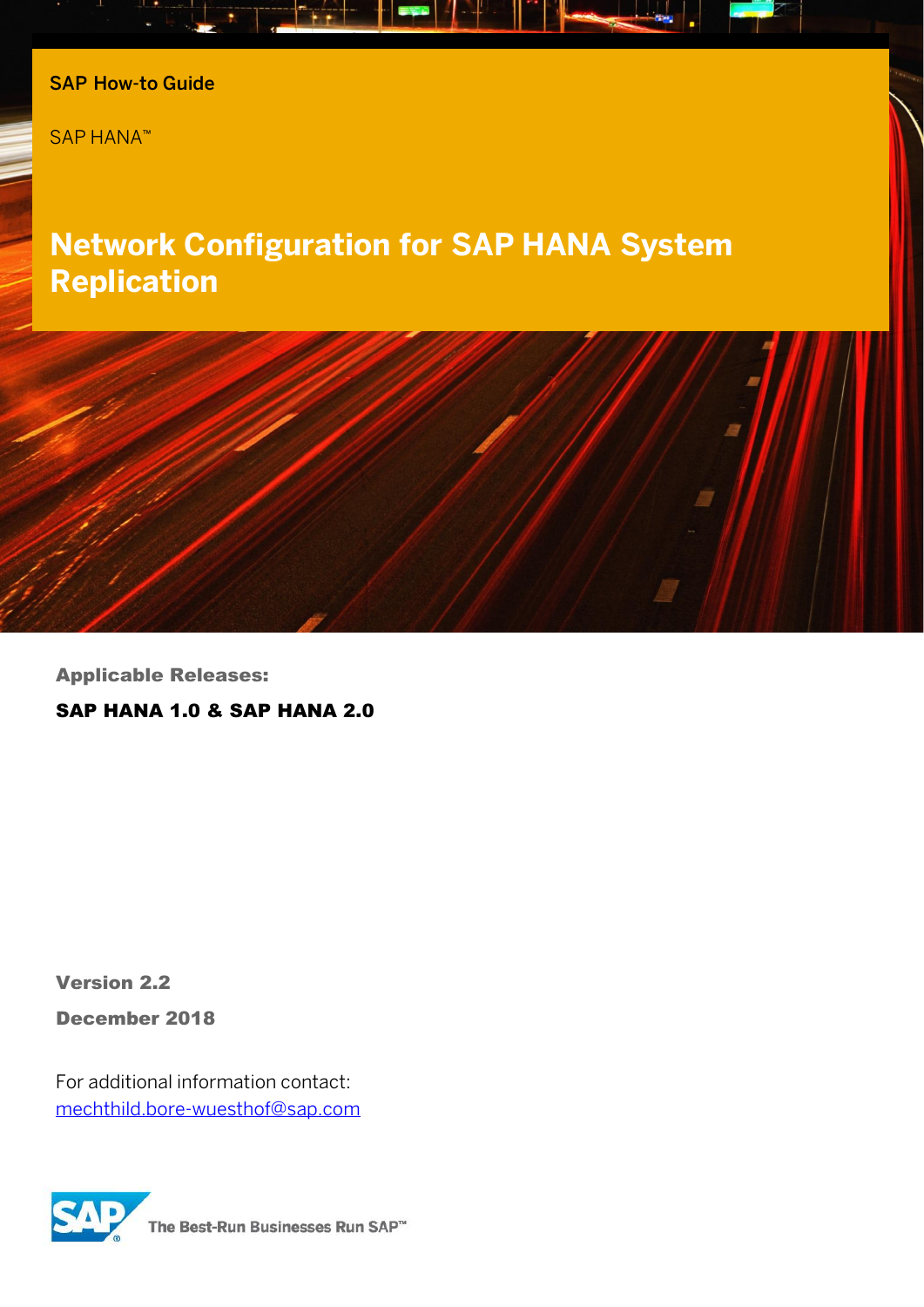

SAP HANA™

# **Network Configuration for SAP HANA System Replication**



Applicable Releases:

SAP HANA 1.0 & SAP HANA 2.0

Version 2.2

December 2018

For additional information contact: [mechthild.bore-wuesthof@sap.com](mailto:mechthild.bore-wuesthof@sap.com)



The Best-Run Businesses Run SAP<sup>™</sup>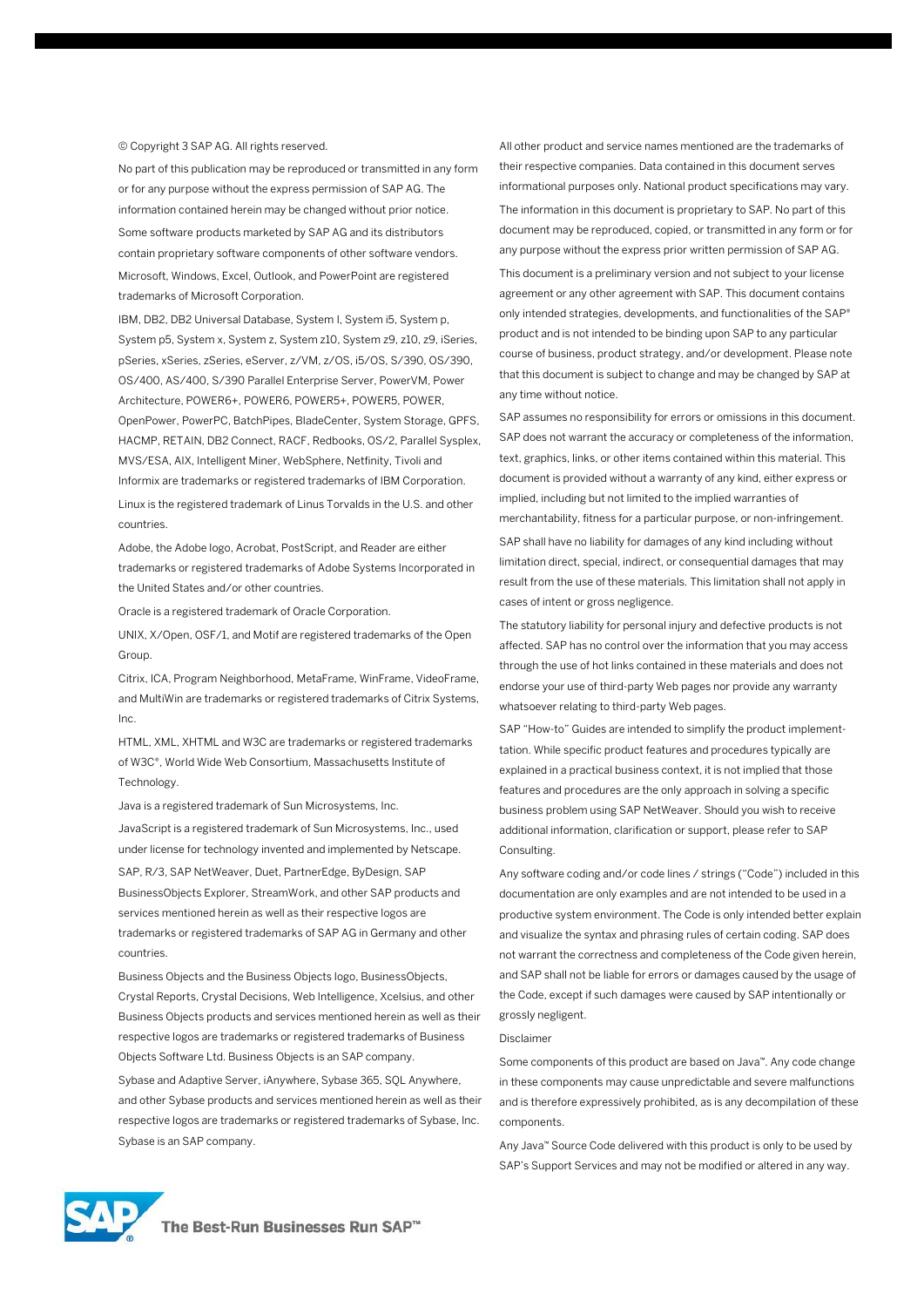#### © Copyright 3 SAP AG. All rights reserved.

No part of this publication may be reproduced or transmitted in any form or for any purpose without the express permission of SAP AG. The information contained herein may be changed without prior notice. Some software products marketed by SAP AG and its distributors contain proprietary software components of other software vendors. Microsoft, Windows, Excel, Outlook, and PowerPoint are registered trademarks of Microsoft Corporation.

IBM, DB2, DB2 Universal Database, System I, System i5, System p, System p5, System x, System z, System z10, System z9, z10, z9, iSeries, pSeries, xSeries, zSeries, eServer, z/VM, z/OS, i5/OS, S/390, OS/390, OS/400, AS/400, S/390 Parallel Enterprise Server, PowerVM, Power Architecture, POWER6+, POWER6, POWER5+, POWER5, POWER, OpenPower, PowerPC, BatchPipes, BladeCenter, System Storage, GPFS, HACMP, RETAIN, DB2 Connect, RACF, Redbooks, OS/2, Parallel Sysplex, MVS/ESA, AIX, Intelligent Miner, WebSphere, Netfinity, Tivoli and Informix are trademarks or registered trademarks of IBM Corporation. Linux is the registered trademark of Linus Torvalds in the U.S. and other countries.

Adobe, the Adobe logo, Acrobat, PostScript, and Reader are either trademarks or registered trademarks of Adobe Systems Incorporated in the United States and/or other countries.

Oracle is a registered trademark of Oracle Corporation.

UNIX, X/Open, OSF/1, and Motif are registered trademarks of the Open Group.

Citrix, ICA, Program Neighborhood, MetaFrame, WinFrame, VideoFrame, and MultiWin are trademarks or registered trademarks of Citrix Systems, Inc.

HTML, XML, XHTML and W3C are trademarks or registered trademarks of W3C®, World Wide Web Consortium, Massachusetts Institute of Technology.

Java is a registered trademark of Sun Microsystems, Inc.

JavaScript is a registered trademark of Sun Microsystems, Inc., used under license for technology invented and implemented by Netscape. SAP, R/3, SAP NetWeaver, Duet, PartnerEdge, ByDesign, SAP BusinessObjects Explorer, StreamWork, and other SAP products and services mentioned herein as well as their respective logos are trademarks or registered trademarks of SAP AG in Germany and other countries.

Business Objects and the Business Objects logo, BusinessObjects, Crystal Reports, Crystal Decisions, Web Intelligence, Xcelsius, and other Business Objects products and services mentioned herein as well as their respective logos are trademarks or registered trademarks of Business Objects Software Ltd. Business Objects is an SAP company. Sybase and Adaptive Server, iAnywhere, Sybase 365, SQL Anywhere, and other Sybase products and services mentioned herein as well as their respective logos are trademarks or registered trademarks of Sybase, Inc. Sybase is an SAP company.

All other product and service names mentioned are the trademarks of their respective companies. Data contained in this document serves informational purposes only. National product specifications may vary. The information in this document is proprietary to SAP. No part of this document may be reproduced, copied, or transmitted in any form or for any purpose without the express prior written permission of SAP AG. This document is a preliminary version and not subject to your license agreement or any other agreement with SAP. This document contains only intended strategies, developments, and functionalities of the SAP® product and is not intended to be binding upon SAP to any particular course of business, product strategy, and/or development. Please note that this document is subject to change and may be changed by SAP at any time without notice.

SAP assumes no responsibility for errors or omissions in this document. SAP does not warrant the accuracy or completeness of the information, text, graphics, links, or other items contained within this material. This document is provided without a warranty of any kind, either express or implied, including but not limited to the implied warranties of merchantability, fitness for a particular purpose, or non-infringement. SAP shall have no liability for damages of any kind including without limitation direct, special, indirect, or consequential damages that may result from the use of these materials. This limitation shall not apply in cases of intent or gross negligence.

The statutory liability for personal injury and defective products is not affected. SAP has no control over the information that you may access through the use of hot links contained in these materials and does not endorse your use of third-party Web pages nor provide any warranty whatsoever relating to third-party Web pages.

SAP "How-to" Guides are intended to simplify the product implementtation. While specific product features and procedures typically are explained in a practical business context, it is not implied that those features and procedures are the only approach in solving a specific business problem using SAP NetWeaver. Should you wish to receive additional information, clarification or support, please refer to SAP **Consulting** 

Any software coding and/or code lines / strings ("Code") included in this documentation are only examples and are not intended to be used in a productive system environment. The Code is only intended better explain and visualize the syntax and phrasing rules of certain coding. SAP does not warrant the correctness and completeness of the Code given herein, and SAP shall not be liable for errors or damages caused by the usage of the Code, except if such damages were caused by SAP intentionally or grossly negligent.

#### Disclaimer

Some components of this product are based on Java™. Any code change in these components may cause unpredictable and severe malfunctions and is therefore expressively prohibited, as is any decompilation of these components.

Any Java™ Source Code delivered with this product is only to be used by SAP's Support Services and may not be modified or altered in any way.

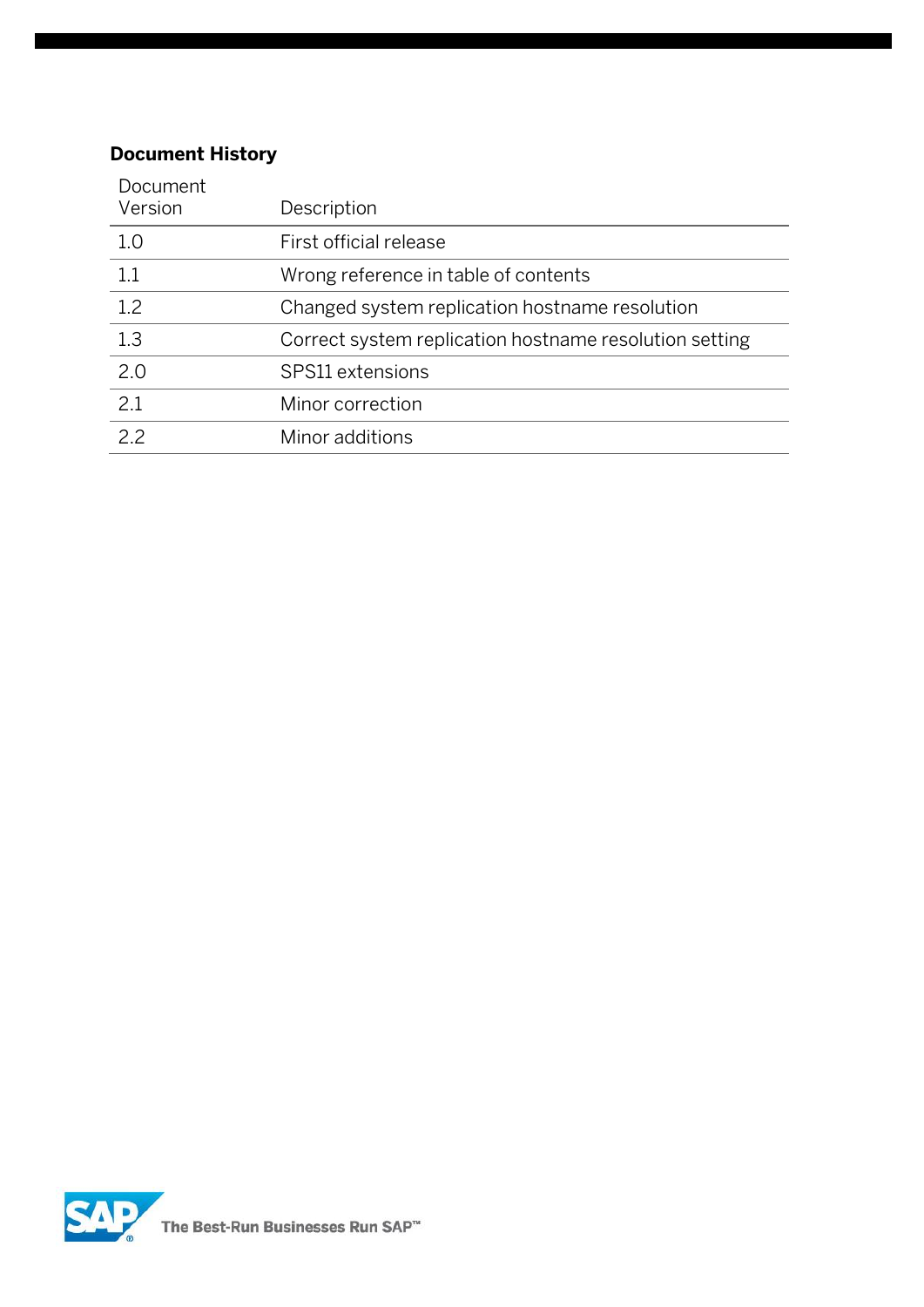#### **Document History**

| Document<br>Version | Description                                            |
|---------------------|--------------------------------------------------------|
| 1.0                 | First official release                                 |
| 1.1                 | Wrong reference in table of contents                   |
| 1.2                 | Changed system replication hostname resolution         |
| 1.3                 | Correct system replication hostname resolution setting |
| 2.0                 | SPS11 extensions                                       |
| 2.1                 | Minor correction                                       |
| 2.2                 | Minor additions                                        |

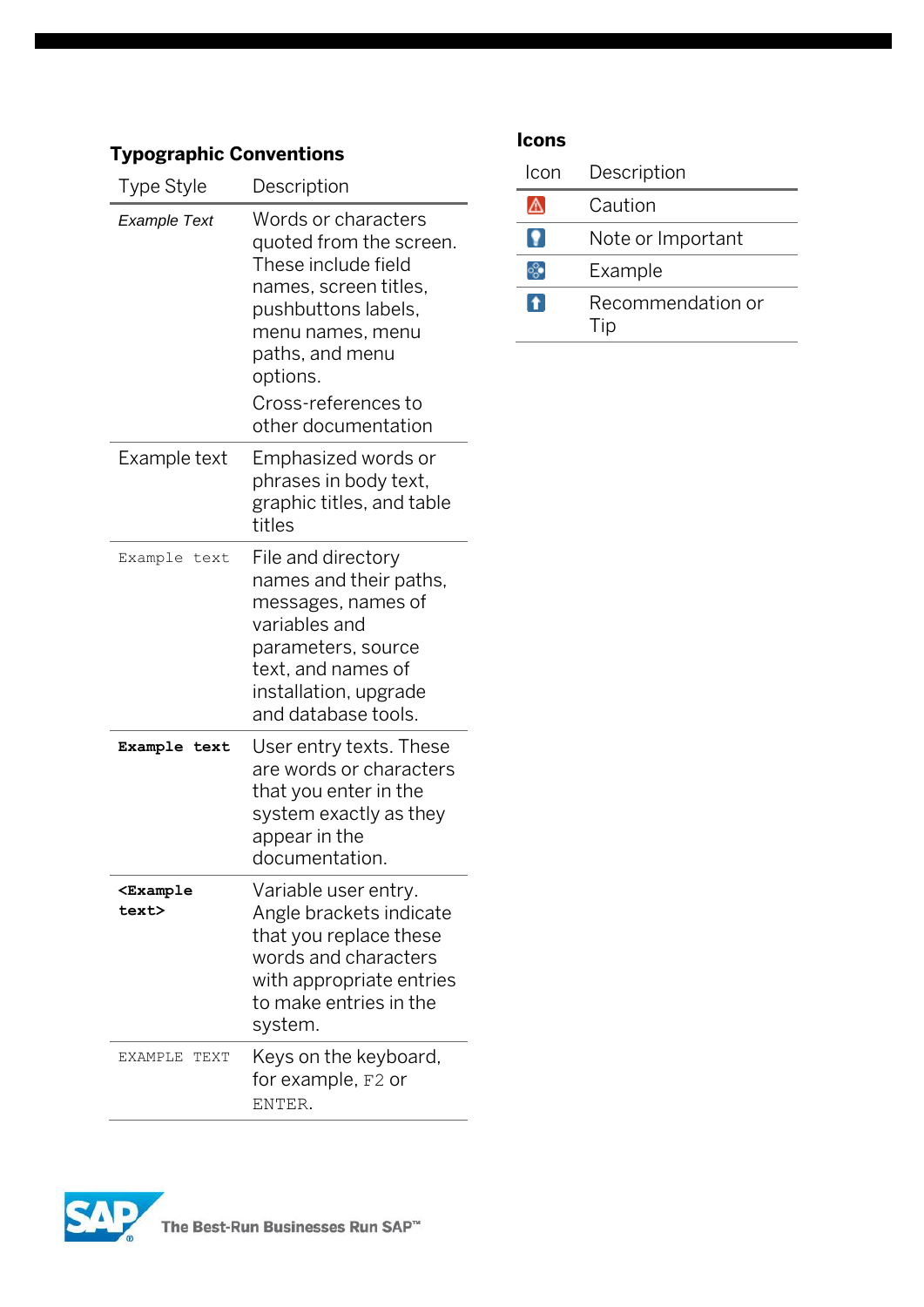### **Typographic Conventions**

| Type Style                                     | Description                                                                                                                                                                     |  |  |  |
|------------------------------------------------|---------------------------------------------------------------------------------------------------------------------------------------------------------------------------------|--|--|--|
| Example Text                                   | Words or characters<br>quoted from the screen.<br>These include field<br>names, screen titles,<br>pushbuttons labels,<br>menu names, menu<br>paths, and menu<br>options.        |  |  |  |
|                                                | Cross-references to<br>other documentation                                                                                                                                      |  |  |  |
| Example text                                   | Emphasized words or<br>phrases in body text,<br>graphic titles, and table<br>titles                                                                                             |  |  |  |
| Example text                                   | File and directory<br>names and their paths,<br>messages, names of<br>variables and<br>parameters, source<br>text, and names of<br>installation, upgrade<br>and database tools. |  |  |  |
| Example text                                   | User entry texts. These<br>are words or characters<br>that you enter in the<br>system exactly as they<br>appear in the<br>documentation.                                        |  |  |  |
| <b><example< b=""><br/>text&gt;</example<></b> | Variable user entry.<br>Angle brackets indicate<br>that you replace these<br>words and characters<br>with appropriate entries<br>to make entries in the<br>system.              |  |  |  |
| <b>TEXT</b><br>EXAMPLE                         | Keys on the keyboard,<br>for example, F2 or<br>ENTER.                                                                                                                           |  |  |  |

### **Icons**

| Icon | Description              |
|------|--------------------------|
|      | Caution                  |
|      | Note or Important        |
|      | Example                  |
| n.   | Recommendation or<br>Tip |

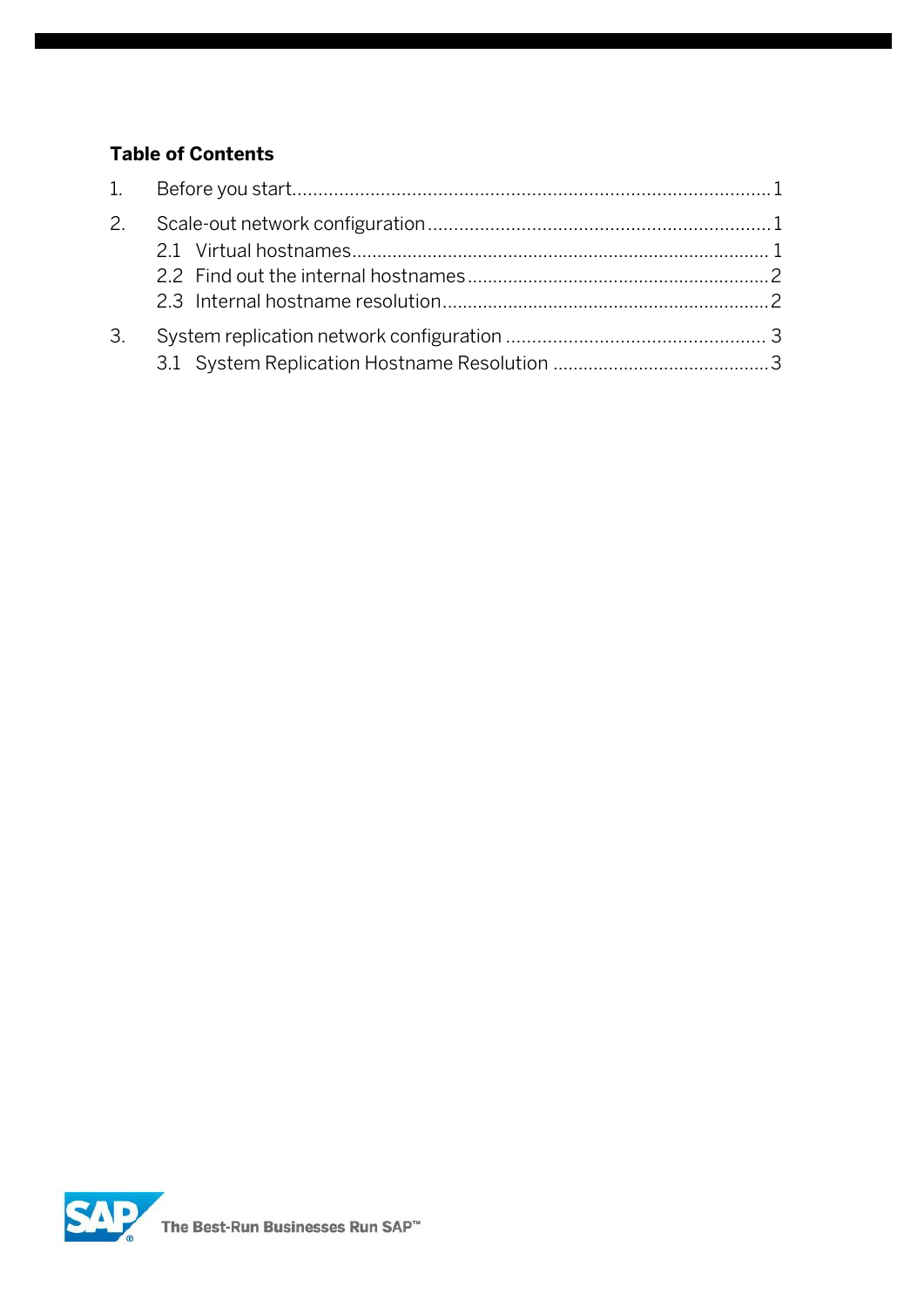#### **Table of Contents**

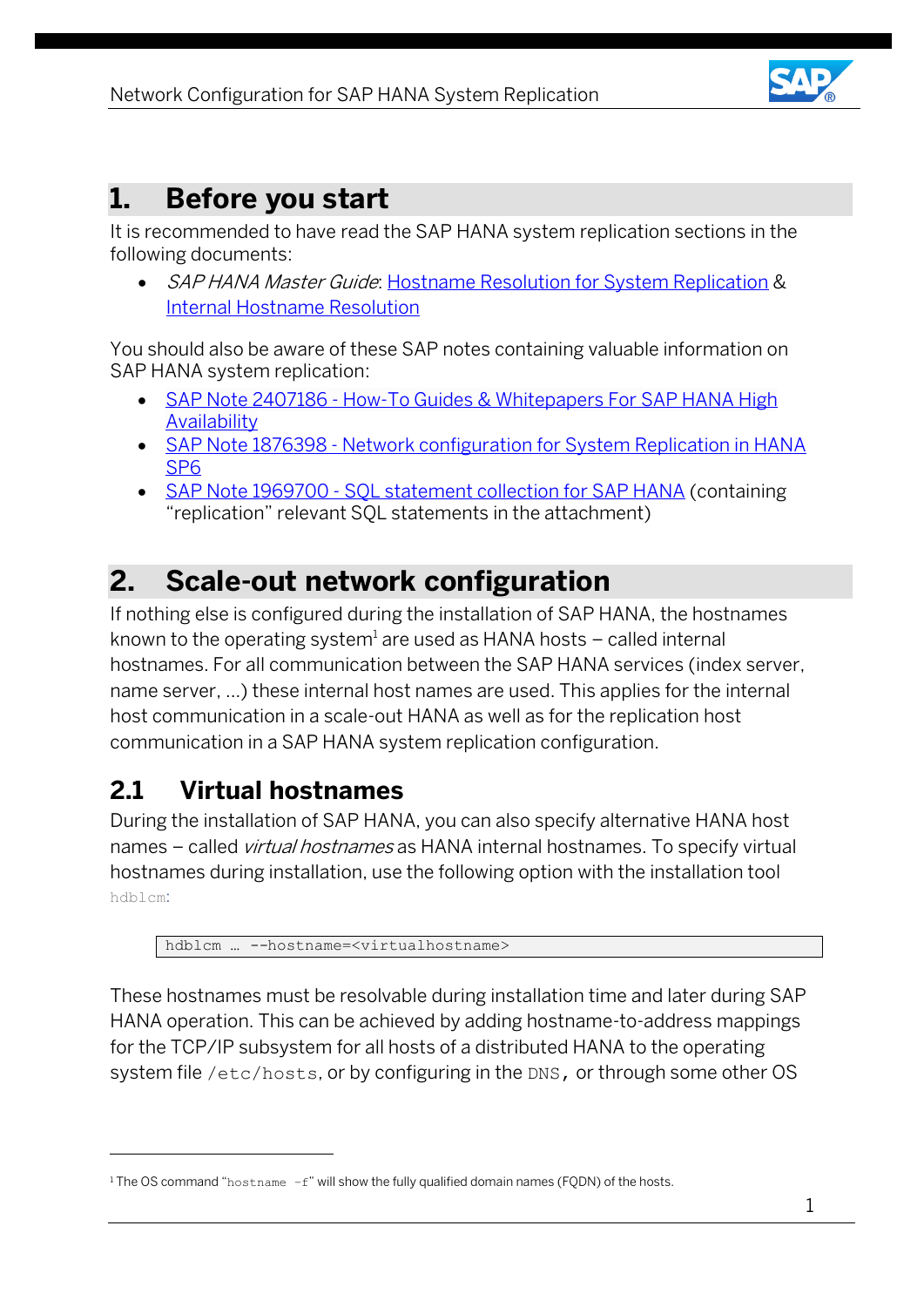

### <span id="page-5-0"></span>**1. Before you start**

It is recommended to have read the SAP HANA system replication sections in the following documents:

• SAP HANA Master Guide: [Hostname Resolution for System Replication](https://help.sap.com/viewer/eb3777d5495d46c5b2fa773206bbfb46/1.0.12/en-US/c0cba1cb2ba34ec89f45b48b2157ec7b.html) & [Internal Hostname Resolution](https://help.sap.com/viewer/eb3777d5495d46c5b2fa773206bbfb46/1.0.12/en-US/3fd4912896284029931997903c75d956.html)

You should also be aware of these SAP notes containing valuable information on SAP HANA system replication:

- SAP Note 2407186 How-To Guides & Whitepapers For SAP HANA High **[Availability](https://i7p.wdf.sap.corp/sap/support/notes/2407186)**
- SAP Note 1876398 Network configuration for System Replication in HANA [SP6](https://service.sap.com/sap/support/notes/1876398)
- SAP Note 1969700 SOL statement collection for SAP HANA (containing "replication" relevant SQL statements in the attachment)

## <span id="page-5-1"></span>**2. Scale-out network configuration**

If nothing else is configured during the installation of SAP HANA, the hostnames known to the operating system $^{\rm l}$  are used as HANA hosts – called internal hostnames. For all communication between the SAP HANA services (index server, name server, …) these internal host names are used. This applies for the internal host communication in a scale-out HANA as well as for the replication host communication in a SAP HANA system replication configuration.

### <span id="page-5-2"></span>**2.1 Virtual hostnames**

 $\overline{a}$ 

During the installation of SAP HANA, you can also specify alternative HANA host names - called *virtual hostnames* as HANA internal hostnames. To specify virtual hostnames during installation, use the following option with the installation tool hdblcm:

hdblcm … *--*hostname=<virtualhostname>

These hostnames must be resolvable during installation time and later during SAP HANA operation. This can be achieved by adding hostname-to-address mappings for the TCP/IP subsystem for all hosts of a distributed HANA to the operating system file /etc/hosts, or by configuring in the DNS, or through some other OS

<sup>&</sup>lt;sup>1</sup> The OS command "hostname  $-f''$  will show the fully qualified domain names (FODN) of the hosts.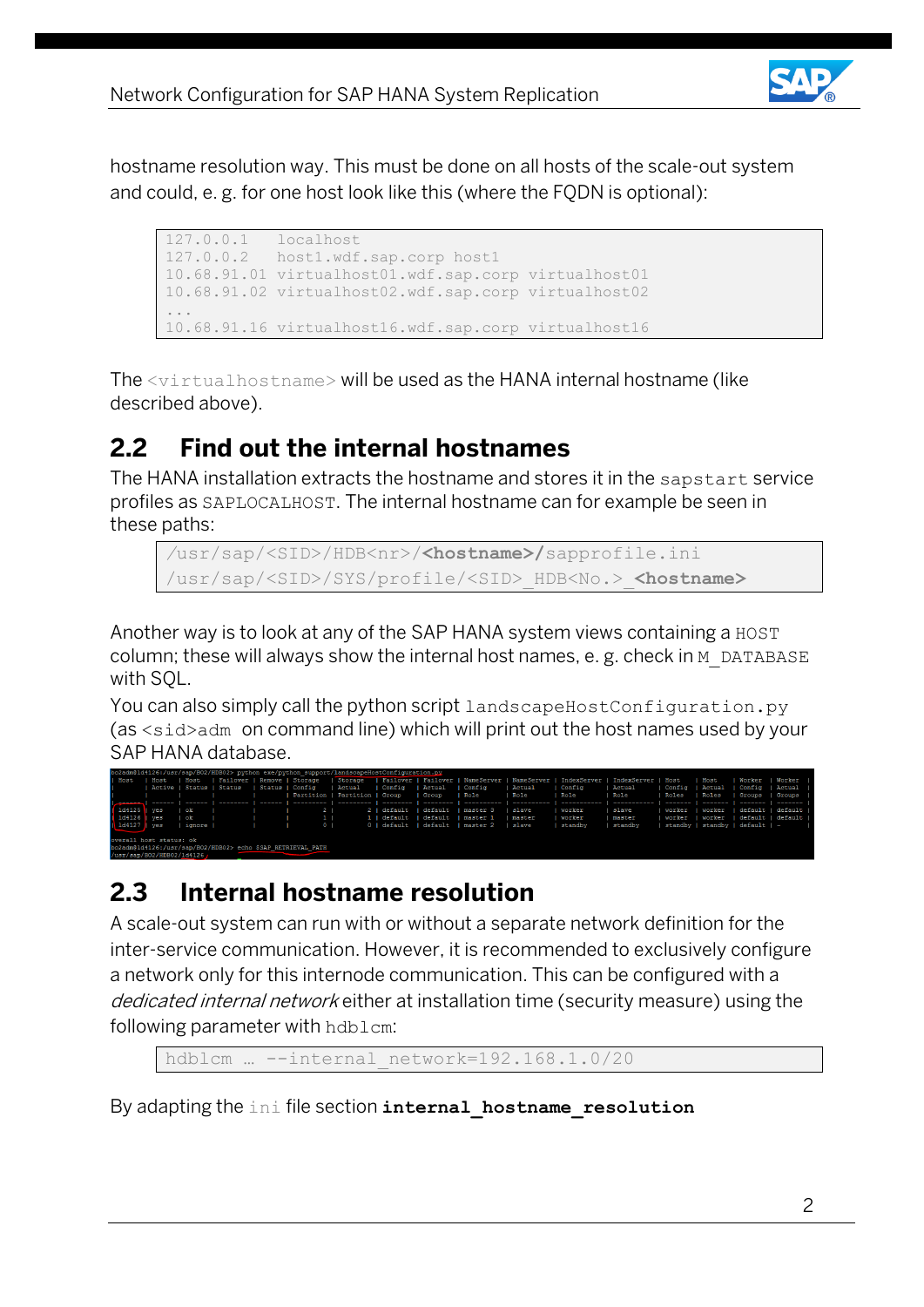

hostname resolution way. This must be done on all hosts of the scale-out system and could, e. g. for one host look like this (where the FQDN is optional):

```
127.0.0.1 localhost
127.0.0.2 host1.wdf.sap.corp host1
10.68.91.01 virtualhost01.wdf.sap.corp virtualhost01
10.68.91.02 virtualhost02.wdf.sap.corp virtualhost02
...
10.68.91.16 virtualhost16.wdf.sap.corp virtualhost16
```
The <virtualhostname> will be used as the HANA internal hostname (like described above).

### <span id="page-6-0"></span>**2.2 Find out the internal hostnames**

The HANA installation extracts the hostname and stores it in the sapstart service profiles as SAPLOCALHOST. The internal hostname can for example be seen in these paths:

```
/usr/sap/<SID>/HDB<nr>/<hostname>/sapprofile.ini
/usr/sap/<SID>/SYS/profile/<SID>_HDB<No.>_<hostname>
```
Another way is to look at any of the SAP HANA system views containing a HOST column; these will always show the internal host names, e. g. check in M\_DATABASE with SQL.

You can also simply call the python script landscapeHostConfiguration.py (as <sid>adm on command line) which will print out the host names used by your SAP HANA database.

| bo2adm@ld4126:/usr/sap/BO2/HDB02> python exe/python support/landscapeHostConfiguration.py |                             |           |  |                 |  |                               |                                  |           |            |        |                                                                                                                                        |              |                 |      |                                       |                                   |
|-------------------------------------------------------------------------------------------|-----------------------------|-----------|--|-----------------|--|-------------------------------|----------------------------------|-----------|------------|--------|----------------------------------------------------------------------------------------------------------------------------------------|--------------|-----------------|------|---------------------------------------|-----------------------------------|
| I Host                                                                                    |                             |           |  |                 |  |                               |                                  |           |            |        | Host   Host   Failover   Remove   Storage   Storage   Failover   Failover   NameServer   NameServer   IndexServer   IndexServer   Host |              |                 | Host |                                       | Worker   Worker                   |
|                                                                                           | Active   Status   Status    |           |  | Status   Config |  | Actual                        | Config   Actual                  |           | Config     | Actual | Config                                                                                                                                 | Actual       |                 |      |                                       | Config   Actual   Config   Actual |
|                                                                                           |                             |           |  |                 |  | Partition   Partition   Group |                                  | Sroup     | l Role     | Role   | l Role                                                                                                                                 | l Role       | I Roles I Roles |      |                                       | I Groups I Groups I               |
|                                                                                           |                             |           |  |                 |  |                               |                                  |           |            |        |                                                                                                                                        |              |                 |      |                                       | --------                          |
| 144125                                                                                    | ves                         | ok        |  |                 |  |                               | default                          | default   | I master 3 | slave  | worker                                                                                                                                 | <b>Slave</b> | worker I worker |      | default   default                     |                                   |
| $1d4126$ $ves$                                                                            |                             | ok        |  |                 |  |                               | 1   default                      | l default | I master 1 | master | worker                                                                                                                                 | master       |                 |      | worker I worker I default I default I |                                   |
| $\parallel$ 1d4127 $\parallel$ yes                                                        |                             | Lignore I |  |                 |  |                               | 0   default   default   master 2 |           |            | slave  | standby                                                                                                                                | standby      |                 |      | standby   standby   default   -       |                                   |
|                                                                                           |                             |           |  |                 |  |                               |                                  |           |            |        |                                                                                                                                        |              |                 |      |                                       |                                   |
| overall host status: ok                                                                   |                             |           |  |                 |  |                               |                                  |           |            |        |                                                                                                                                        |              |                 |      |                                       |                                   |
| bo2adm@ld4126:/usr/sap/BO2/HDB02> echo \$SAP RETRIEVAL PATH                               |                             |           |  |                 |  |                               |                                  |           |            |        |                                                                                                                                        |              |                 |      |                                       |                                   |
|                                                                                           | /usr/san/BO2/HDB02/1d4126 / |           |  |                 |  |                               |                                  |           |            |        |                                                                                                                                        |              |                 |      |                                       |                                   |

## <span id="page-6-1"></span>**2.3 Internal hostname resolution**

A scale-out system can run with or without a separate network definition for the inter-service communication. However, it is recommended to exclusively configure a network only for this internode communication. This can be configured with a dedicated internal network either at installation time (security measure) using the following parameter with hdblcm:

```
hdblcm … --internal_network=192.168.1.0/20
```
By adapting the ini file section **internal\_hostname\_resolution**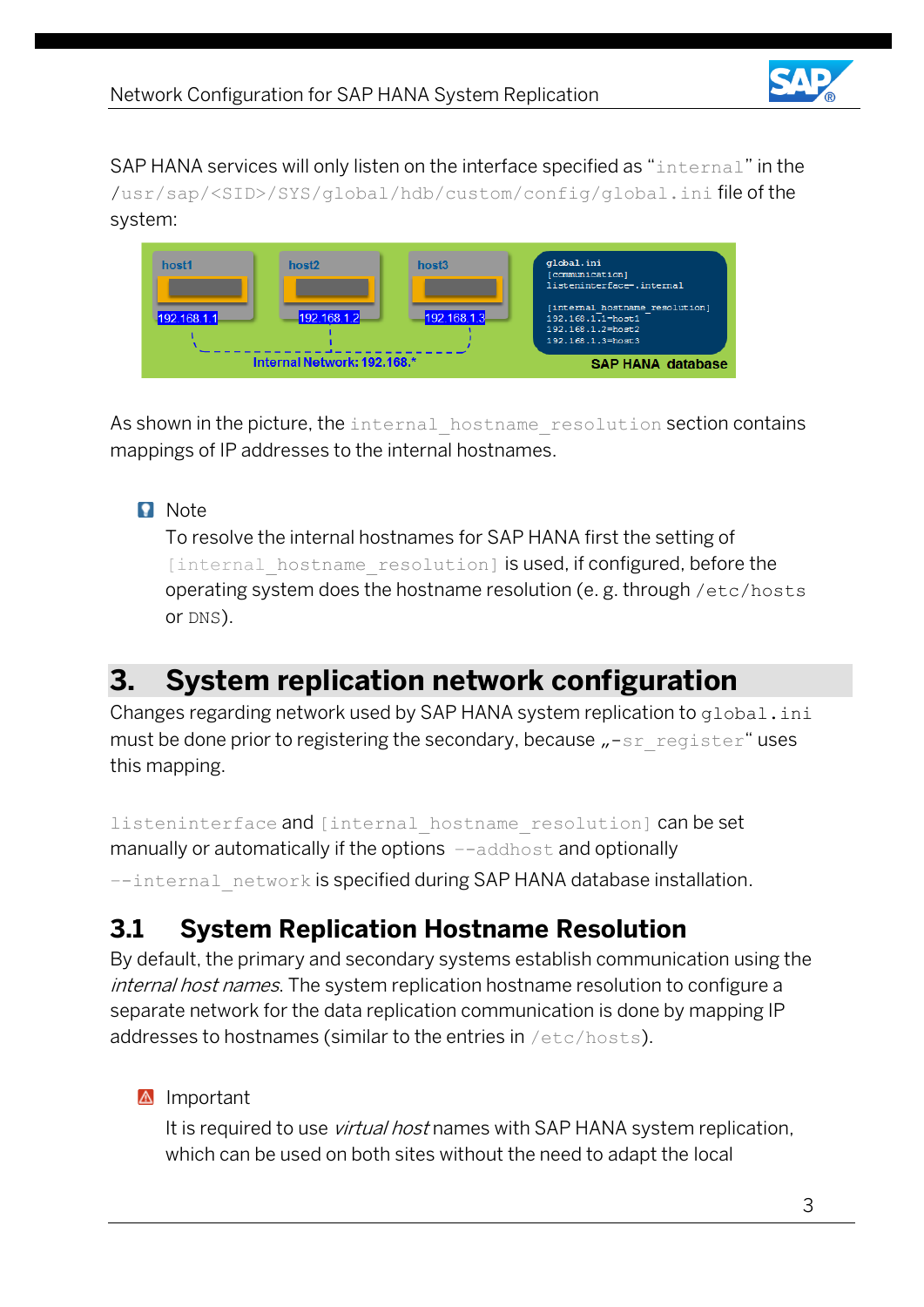

SAP HANA services will only listen on the interface specified as "internal" in the /usr/sap/<SID>/SYS/global/hdb/custom/config/global.ini file of the system:



As shown in the picture, the internal hostname resolution section contains mappings of IP addresses to the internal hostnames.

#### **Note**

To resolve the internal hostnames for SAP HANA first the setting of [internal hostname resolution] is used, if configured, before the operating system does the hostname resolution (e. g. through /etc/hosts or DNS).

## <span id="page-7-0"></span>**3. System replication network configuration**

Changes regarding network used by SAP HANA system replication to qlobal.ini must be done prior to registering the secondary, because "-sr\_register" uses this mapping.

listeninterface and [internal hostname resolution] can be set manually or automatically if the options –-addhost and optionally --internal network is specified during SAP HANA database installation.

### <span id="page-7-1"></span>**3.1 System Replication Hostname Resolution**

By default, the primary and secondary systems establish communication using the internal host names. The system replication hostname resolution to configure a separate network for the data replication communication is done by mapping IP addresses to hostnames (similar to the entries in /etc/hosts).

#### **A** Important

It is required to use *virtual host* names with SAP HANA system replication, which can be used on both sites without the need to adapt the local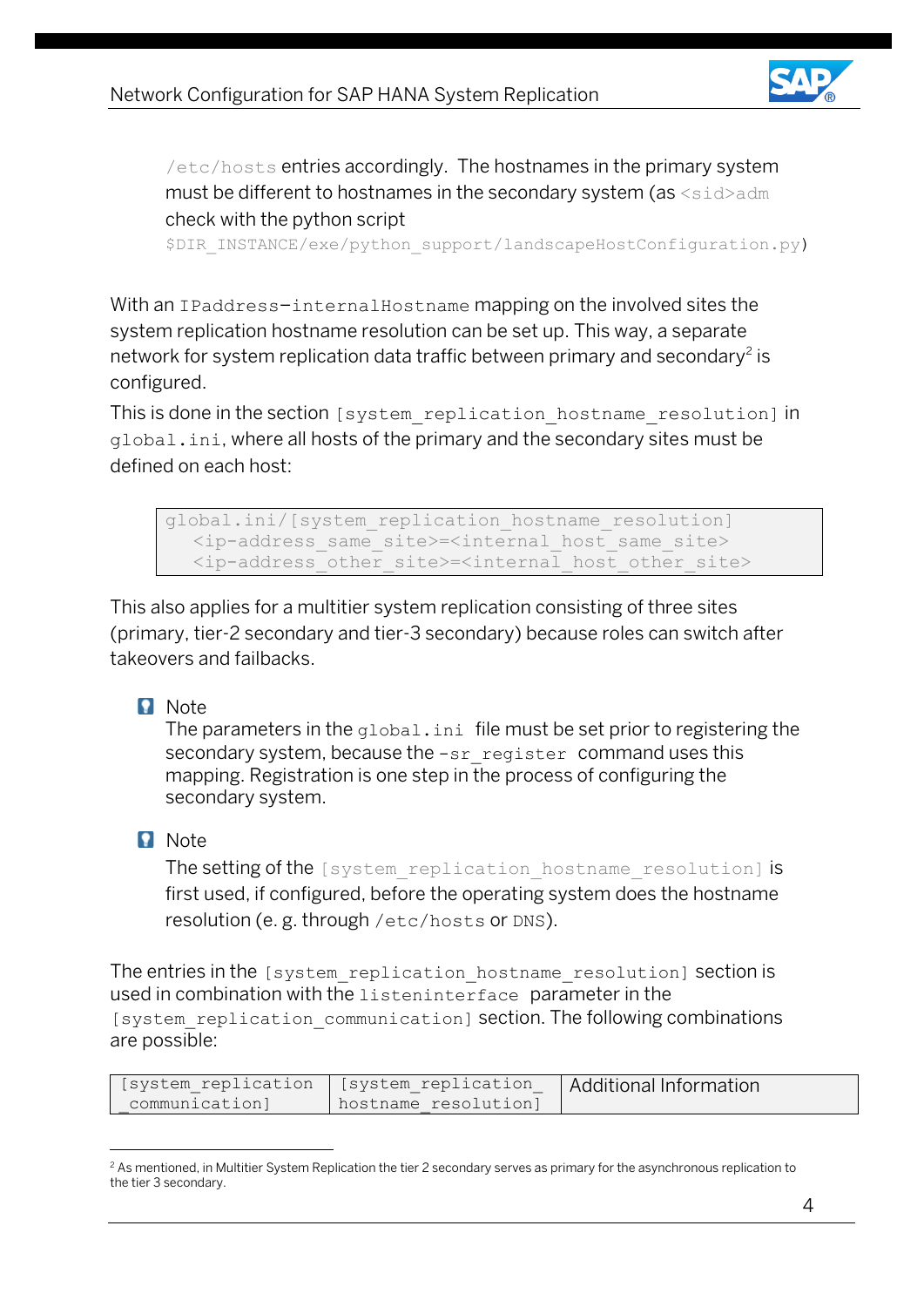

/etc/hosts entries accordingly. The hostnames in the primary system must be different to hostnames in the secondary system (as <sid>adm check with the python script

\$DIR\_INSTANCE/exe/python\_support/landscapeHostConfiguration.py)

With an IPaddress-internalHostname mapping on the involved sites the system replication hostname resolution can be set up. This way, a separate network for system replication data traffic between primary and secondary $^2$  is configured.

This is done in the section [system replication hostname resolution] in global.ini, where all hosts of the primary and the secondary sites must be defined on each host:

global.ini/[system\_replication\_hostname\_resolution] <ip-address\_same\_site>=<internal\_host\_same\_site> <ip-address\_other\_site>=<internal\_host\_other\_site>

This also applies for a multitier system replication consisting of three sites (primary, tier-2 secondary and tier-3 secondary) because roles can switch after takeovers and failbacks.

#### **Note**

The parameters in the global.ini file must be set prior to registering the secondary system, because the  $\text{-sr}$  register command uses this mapping. Registration is one step in the process of configuring the secondary system.

#### **n** Note

 $\overline{a}$ 

The setting of the [system\_replication\_hostname\_resolution] is first used, if configured, before the operating system does the hostname resolution (e. g. through /etc/hosts or DNS).

The entries in the [system replication hostname resolution] section is used in combination with the listeninterface parameter in the [system\_replication\_communication] section. The following combinations are possible:

| [system replication] | [system replication  | Additional Information |
|----------------------|----------------------|------------------------|
| communication]       | hostname resolution] |                        |

<sup>&</sup>lt;sup>2</sup> As mentioned, in Multitier System Replication the tier 2 secondary serves as primary for the asynchronous replication to the tier 3 secondary.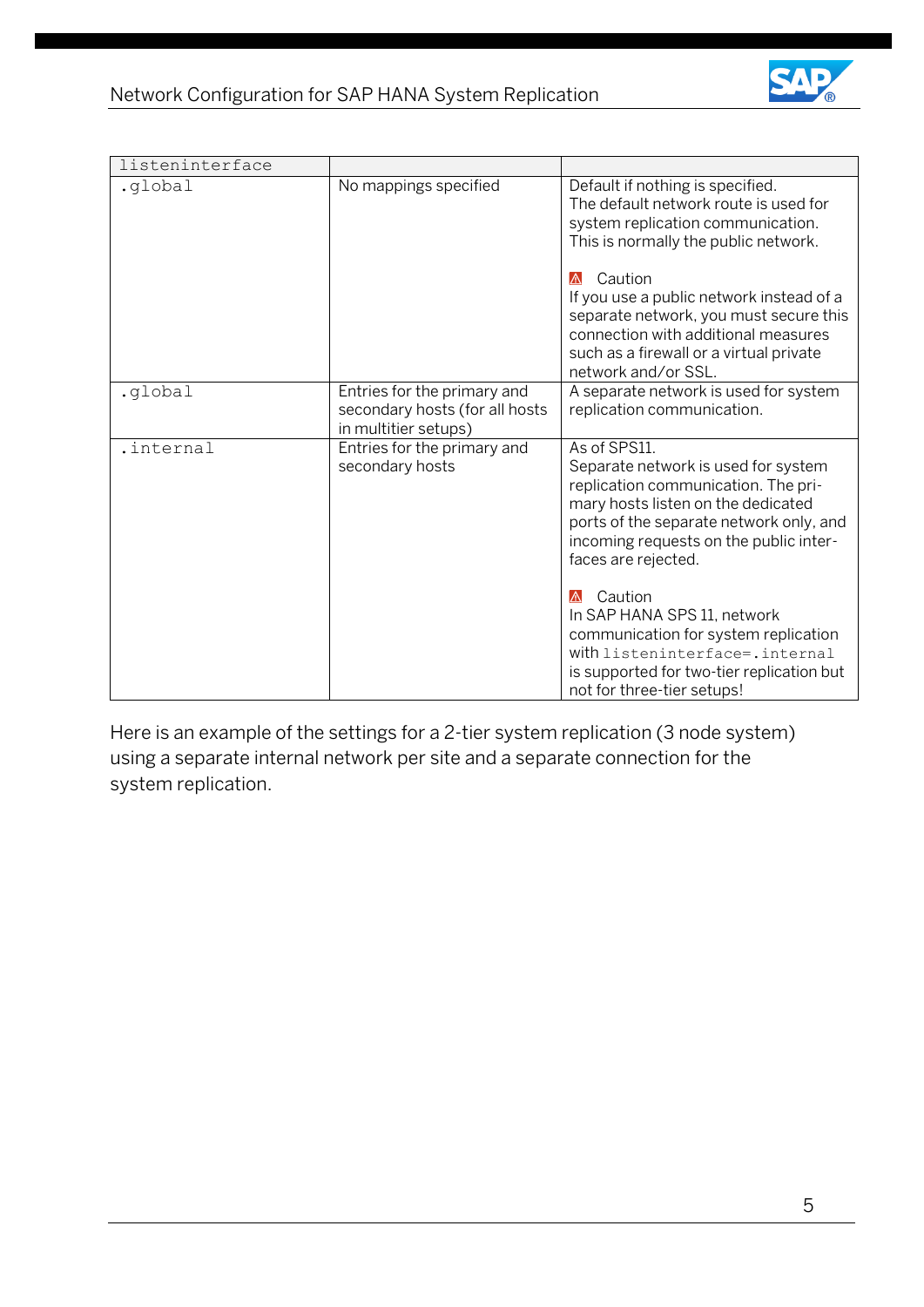

| listeninterface |                                                                                       |                                                                                                                                                                                                                                              |  |  |  |  |
|-----------------|---------------------------------------------------------------------------------------|----------------------------------------------------------------------------------------------------------------------------------------------------------------------------------------------------------------------------------------------|--|--|--|--|
| .global         | No mappings specified                                                                 | Default if nothing is specified.<br>The default network route is used for<br>system replication communication.<br>This is normally the public network.                                                                                       |  |  |  |  |
|                 |                                                                                       | Caution<br>W<br>If you use a public network instead of a<br>separate network, you must secure this<br>connection with additional measures<br>such as a firewall or a virtual private<br>network and/or SSL.                                  |  |  |  |  |
| .global         | Entries for the primary and<br>secondary hosts (for all hosts<br>in multitier setups) | A separate network is used for system<br>replication communication.                                                                                                                                                                          |  |  |  |  |
| .internal       | Entries for the primary and<br>secondary hosts                                        | As of SPS11.<br>Separate network is used for system<br>replication communication. The pri-<br>mary hosts listen on the dedicated<br>ports of the separate network only, and<br>incoming requests on the public inter-<br>faces are rejected. |  |  |  |  |
|                 |                                                                                       | Caution<br>$\Lambda$<br>In SAP HANA SPS 11, network<br>communication for system replication<br>with listeninterface=.internal<br>is supported for two-tier replication but<br>not for three-tier setups!                                     |  |  |  |  |

Here is an example of the settings for a 2-tier system replication (3 node system) using a separate internal network per site and a separate connection for the system replication.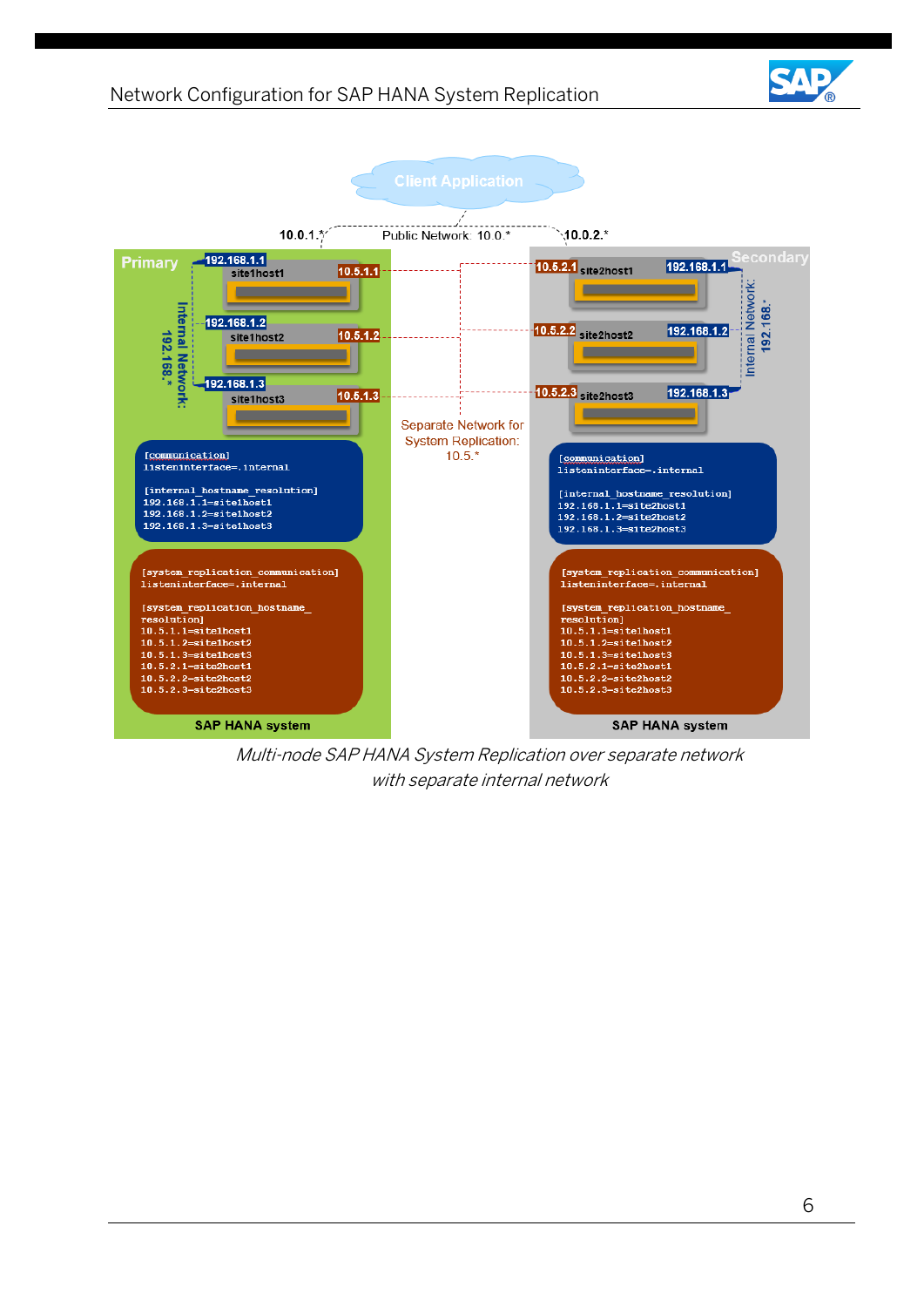#### Network Configuration for SAP HANA System Replication

**SAP HANA system** 



Multi-node SAP HANA System Replication over separate network with separate internal network

SAP HANA system